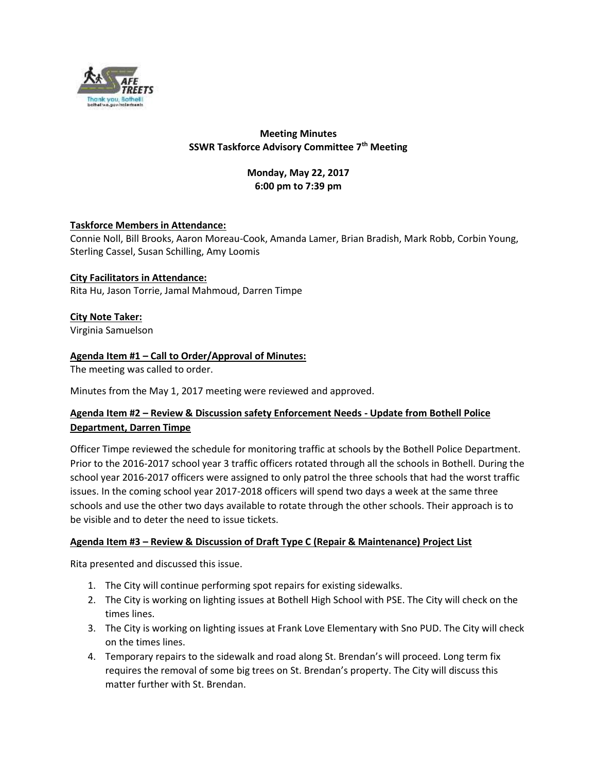

# **Meeting Minutes SSWR Taskforce Advisory Committee 7th Meeting**

# **Monday, May 22, 2017 6:00 pm to 7:39 pm**

# **Taskforce Members in Attendance:**

Connie Noll, Bill Brooks, Aaron Moreau-Cook, Amanda Lamer, Brian Bradish, Mark Robb, Corbin Young, Sterling Cassel, Susan Schilling, Amy Loomis

#### **City Facilitators in Attendance:** Rita Hu, Jason Torrie, Jamal Mahmoud, Darren Timpe

# **City Note Taker:**

Virginia Samuelson

# **Agenda Item #1 – Call to Order/Approval of Minutes:**

The meeting was called to order.

Minutes from the May 1, 2017 meeting were reviewed and approved.

# **Agenda Item #2 – Review & Discussion safety Enforcement Needs - Update from Bothell Police Department, Darren Timpe**

Officer Timpe reviewed the schedule for monitoring traffic at schools by the Bothell Police Department. Prior to the 2016-2017 school year 3 traffic officers rotated through all the schools in Bothell. During the school year 2016-2017 officers were assigned to only patrol the three schools that had the worst traffic issues. In the coming school year 2017-2018 officers will spend two days a week at the same three schools and use the other two days available to rotate through the other schools. Their approach is to be visible and to deter the need to issue tickets.

# **Agenda Item #3 – Review & Discussion of Draft Type C (Repair & Maintenance) Project List**

Rita presented and discussed this issue.

- 1. The City will continue performing spot repairs for existing sidewalks.
- 2. The City is working on lighting issues at Bothell High School with PSE. The City will check on the times lines.
- 3. The City is working on lighting issues at Frank Love Elementary with Sno PUD. The City will check on the times lines.
- 4. Temporary repairs to the sidewalk and road along St. Brendan's will proceed. Long term fix requires the removal of some big trees on St. Brendan's property. The City will discuss this matter further with St. Brendan.